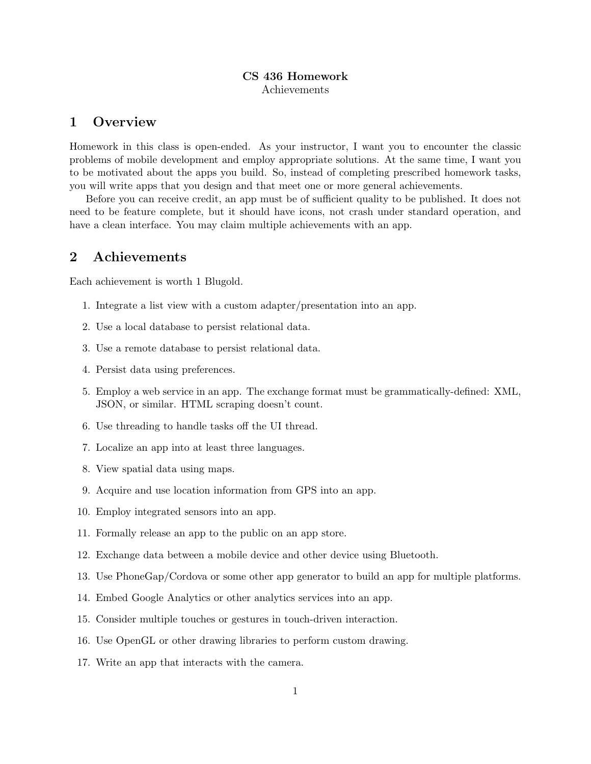## CS 436 Homework Achievements

## 1 Overview

Homework in this class is open-ended. As your instructor, I want you to encounter the classic problems of mobile development and employ appropriate solutions. At the same time, I want you to be motivated about the apps you build. So, instead of completing prescribed homework tasks, you will write apps that you design and that meet one or more general achievements.

Before you can receive credit, an app must be of sufficient quality to be published. It does not need to be feature complete, but it should have icons, not crash under standard operation, and have a clean interface. You may claim multiple achievements with an app.

## 2 Achievements

Each achievement is worth 1 Blugold.

- 1. Integrate a list view with a custom adapter/presentation into an app.
- 2. Use a local database to persist relational data.
- 3. Use a remote database to persist relational data.
- 4. Persist data using preferences.
- 5. Employ a web service in an app. The exchange format must be grammatically-defined: XML, JSON, or similar. HTML scraping doesn't count.
- 6. Use threading to handle tasks off the UI thread.
- 7. Localize an app into at least three languages.
- 8. View spatial data using maps.
- 9. Acquire and use location information from GPS into an app.
- 10. Employ integrated sensors into an app.
- 11. Formally release an app to the public on an app store.
- 12. Exchange data between a mobile device and other device using Bluetooth.
- 13. Use PhoneGap/Cordova or some other app generator to build an app for multiple platforms.
- 14. Embed Google Analytics or other analytics services into an app.
- 15. Consider multiple touches or gestures in touch-driven interaction.
- 16. Use OpenGL or other drawing libraries to perform custom drawing.
- 17. Write an app that interacts with the camera.